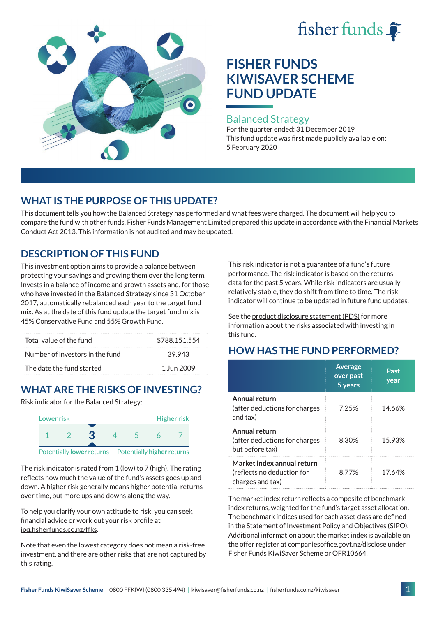# fisher funds



## **FISHER FUNDS KIWISAVER SCHEME FUND UPDATE**

#### Balanced Strategy

For the quarter ended: 31 December 2019 This fund update was first made publicly available on: 5 February 2020

## **WHAT IS THE PURPOSE OF THIS UPDATE?**

This document tells you how the Balanced Strategy has performed and what fees were charged. The document will help you to compare the fund with other funds. Fisher Funds Management Limited prepared this update in accordance with the Financial Markets Conduct Act 2013. This information is not audited and may be updated.

## **DESCRIPTION OF THIS FUND**

This investment option aims to provide a balance between protecting your savings and growing them over the long term. Invests in a balance of income and growth assets and, for those who have invested in the Balanced Strategy since 31 October 2017, automatically rebalanced each year to the target fund mix. As at the date of this fund update the target fund mix is 45% Conservative Fund and 55% Growth Fund.

| Total value of the fund         | \$788.151.554 |  |
|---------------------------------|---------------|--|
| Number of investors in the fund | 39.943        |  |
| The date the fund started       | 1 Jun 2009    |  |

## **WHAT ARE THE RISKS OF INVESTING?**

Risk indicator for the Balanced Strategy:



The risk indicator is rated from 1 (low) to 7 (high). The rating reflects how much the value of the fund's assets goes up and down. A higher risk generally means higher potential returns over time, but more ups and downs along the way.

To help you clarify your own attitude to risk, you can seek financial advice or work out your risk profile at [ipq.fisherfunds.co.nz/ffks](https://ipq.fisherfunds.co.nz/ffks).

Note that even the lowest category does not mean a risk-free investment, and there are other risks that are not captured by this rating.

This risk indicator is not a guarantee of a fund's future performance. The risk indicator is based on the returns data for the past 5 years. While risk indicators are usually relatively stable, they do shift from time to time. The risk indicator will continue to be updated in future fund updates.

See the [product disclosure statement \(PDS\)](https://fisherfunds.co.nz/assets/PDS/Fisher-Funds-KiwiSaver-Scheme-PDS.pdf) for more information about the risks associated with investing in this fund.

## **HOW HAS THE FUND PERFORMED?**

|                                                                              | <b>Average</b><br>over past<br>5 years | Past<br>year |
|------------------------------------------------------------------------------|----------------------------------------|--------------|
| Annual return<br>(after deductions for charges<br>and tax)                   | 7.25%                                  | 14.66%       |
| Annual return<br>(after deductions for charges<br>but before tax)            | 8.30%                                  | 15.93%       |
| Market index annual return<br>(reflects no deduction for<br>charges and tax) | 8.77%                                  | 17.64%       |

The market index return reflects a composite of benchmark index returns, weighted for the fund's target asset allocation. The benchmark indices used for each asset class are defined in the Statement of Investment Policy and Objectives (SIPO). Additional information about the market index is available on the offer register at [companiesoffice.govt.nz/disclose](http://companiesoffice.govt.nz/disclose) under Fisher Funds KiwiSaver Scheme or OFR10664.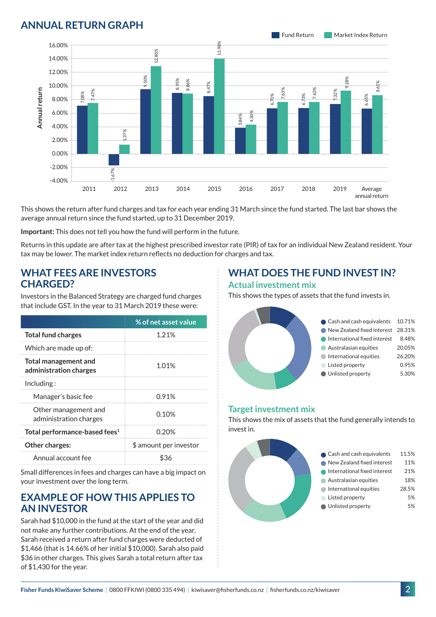### **ANNUAL RETURN GRAPH**



This shows the return after fund charges and tax for each year ending 31 March since the fund started. The last bar shows the average annual return since the fund started, up to 31 December 2019.

**Important:** This does not tell you how the fund will perform in the future.

Returns in this update are after tax at the highest prescribed investor rate (PIR) of tax for an individual New Zealand resident. Your tax may be lower. The market index return reflects no deduction for charges and tax.

#### **WHAT FEES ARE INVESTORS CHARGED?**

Investors in the Balanced Strategy are charged fund charges that include GST. In the year to 31 March 2019 these were:

|                                                | % of net asset value   |  |
|------------------------------------------------|------------------------|--|
| <b>Total fund charges</b>                      | 1 21%                  |  |
| Which are made up of:                          |                        |  |
| Total management and<br>administration charges | 1.01%                  |  |
| Inding:                                        |                        |  |
| Manager's basic fee                            | 0.91%                  |  |
| Other management and<br>administration charges | 0.10%                  |  |
| Total performance-based fees <sup>1</sup>      | 0.20%                  |  |
| <b>Other charges:</b>                          | \$ amount per investor |  |
| Annual account fee                             |                        |  |

Small differences in fees and charges can have a big impact on your investment over the long term.

#### **EXAMPLE OF HOW THIS APPLIES TO AN INVESTOR**

Sarah had \$10,000 in the fund at the start of the year and did not make any further contributions. At the end of the year, Sarah received a return after fund charges were deducted of \$1,466 (that is 14.66% of her initial \$10,000). Sarah also paid \$36 in other charges. This gives Sarah a total return after tax of \$1,430 for the year.

#### **WHAT DOES THE FUND INVEST IN? Actual investment mix**

This shows the types of assets that the fund invests in.



#### **Target investment mix**

This shows the mix of assets that the fund generally intends to invest in.